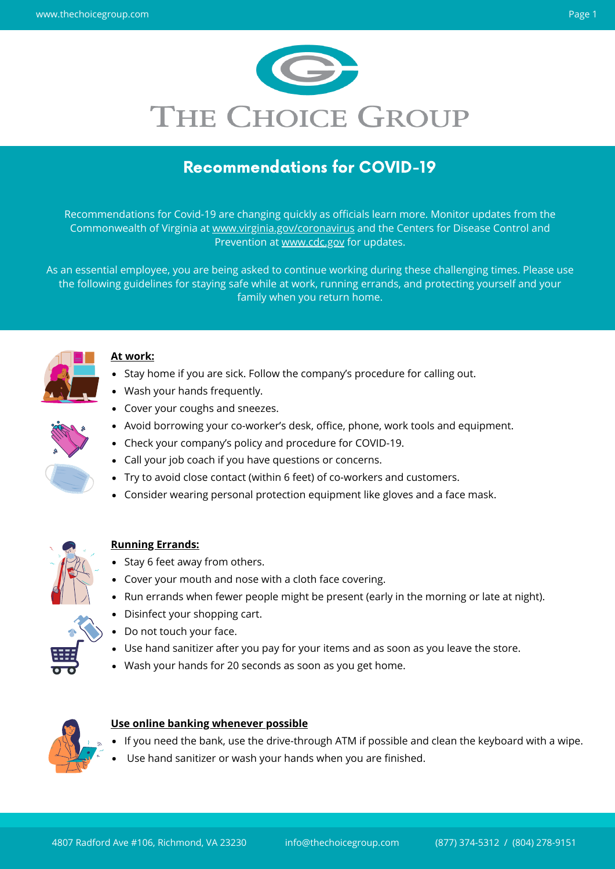Recommendations for Covid-19 are changing quickly as officials learn more. Monitor updates from the Commonwealth of Virginia at [www.virginia.gov/coronavirus](http://www.virginia.gov/coronavirus) and the Centers for Disease Control and Prevention at [www.cdc.gov](http://www.cdc.gov/) for updates.



# Recommendations for COVID-19

- Stay home if you are sick. Follow the company's procedure for calling out.
- Wash your hands frequently.
- Cover your coughs and sneezes.
- Avoid borrowing your co-worker's desk, office, phone, work tools and equipment.
- Check your company's policy and procedure for COVID-19.
- Call your job coach if you have questions or concerns.



As an essential employee, you are being asked to continue working during these challenging times. Please use the following guidelines for staying safe while at work, running errands, and protecting yourself and your family when you return home.



- 
- Try to avoid close contact (within 6 feet) of co-workers and customers.
- Consider wearing personal protection equipment like gloves and a face mask.



### **At work:**

- Stay 6 feet away from others.
- Cover your mouth and nose with a cloth face covering.
- Run errands when fewer people might be present (early in the morning or late at night).
- Disinfect your shopping cart.
- Do not touch your face.
- Use hand sanitizer after you pay for your items and as soon as you leave the store.
- Wash your hands for 20 seconds as soon as you get home.



### **Running Errands:**

- If you need the bank, use the drive-through ATM if possible and clean the keyboard with a wipe.
- Use hand sanitizer or wash your hands when you are finished.

### **Use online banking whenever possible**